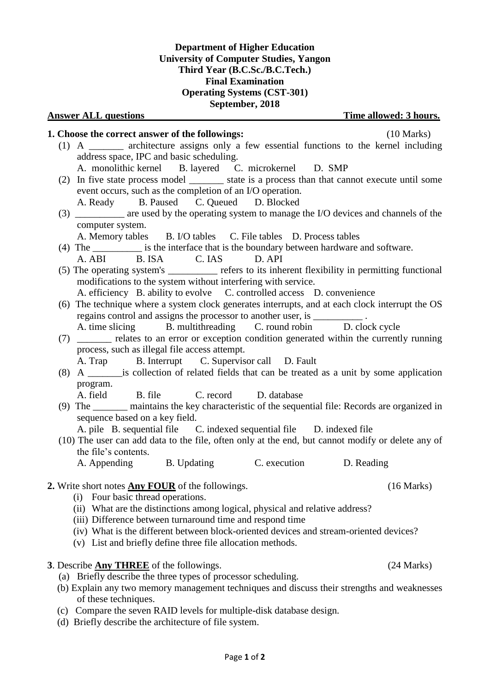# Page **1** of **2**

## **Department of Higher Education University of Computer Studies, Yangon Third Year (B.C.Sc./B.C.Tech.) Final Examination Operating Systems (CST-301)**

#### **September, 2018 Answer ALL questions Time allowed: 3 hours.**

### **1. Choose the correct answer of the followings:** (10 Marks) (1) A \_\_\_\_\_\_\_ architecture assigns only a few essential functions to the kernel including address space, IPC and basic scheduling. A. monolithic kernel B. layered C. microkernel D. SMP (2) In five state process model \_\_\_\_\_\_\_ state is a process than that cannot execute until some event occurs, such as the completion of an I/O operation. A. Ready B. Paused C. Queued D. Blocked (3) \_\_\_\_\_\_\_\_\_\_ are used by the operating system to manage the I/O devices and channels of the computer system. A. Memory tables B. I/O tables C. File tables D. Process tables (4) The interface that is the boundary between hardware and software. A. ABI B. ISA C. IAS D. API (5) The operating system's \_\_\_\_\_\_\_\_\_\_ refers to its inherent flexibility in permitting functional modifications to the system without interfering with service. A. efficiency B. ability to evolve C. controlled access D. convenience (6) The technique where a system clock generates interrupts, and at each clock interrupt the OS regains control and assigns the processor to another user, is  $\qquad \qquad$ A. time slicing B. multithreading C. round robin D. clock cycle (7) \_\_\_\_\_\_\_ relates to an error or exception condition generated within the currently running process, such as illegal file access attempt. A. Trap B. Interrupt C. Supervisor call D. Fault (8) A \_\_\_\_\_\_\_is collection of related fields that can be treated as a unit by some application program. A. field B. file C. record D. database (9) The \_\_\_\_\_\_\_ maintains the key characteristic of the sequential file: Records are organized in sequence based on a key field. A. pile B. sequential file C. indexed sequential file D. indexed file (10) The user can add data to the file, often only at the end, but cannot modify or delete any of the file's contents. A. Appending B. Updating C. execution D. Reading **2.** Write short notes **Any FOUR** of the followings. (16 Marks) (i) Four basic thread operations.

- (ii) What are the distinctions among logical, physical and relative address?
- (iii) Difference between turnaround time and respond time
- (iv) What is the different between block-oriented devices and stream-oriented devices?
- (v) List and briefly define three file allocation methods.
- **3**. Describe **Any THREE** of the followings. (24 Marks)
	- (a) Briefly describe the three types of processor scheduling.
	- (b) Explain any two memory management techniques and discuss their strengths and weaknesses of these techniques.
	- (c) Compare the seven RAID levels for multiple-disk database design.
	- (d) Briefly describe the architecture of file system.